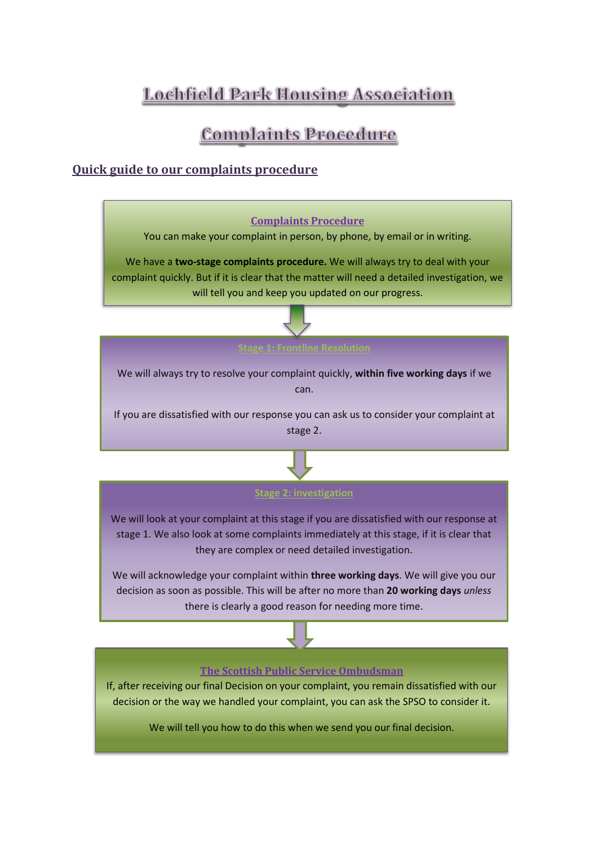# Lochfield Park Housing Association

## **Complaints Procedure**

## **Quick guide to our complaints procedure**



#### **The Scottish Public Service Ombudsman**

If, after receiving our final Decision on your complaint, you remain dissatisfied with our decision or the way we handled your complaint, you can ask the SPSO to consider it.

We will tell you how to do this when we send you our final decision.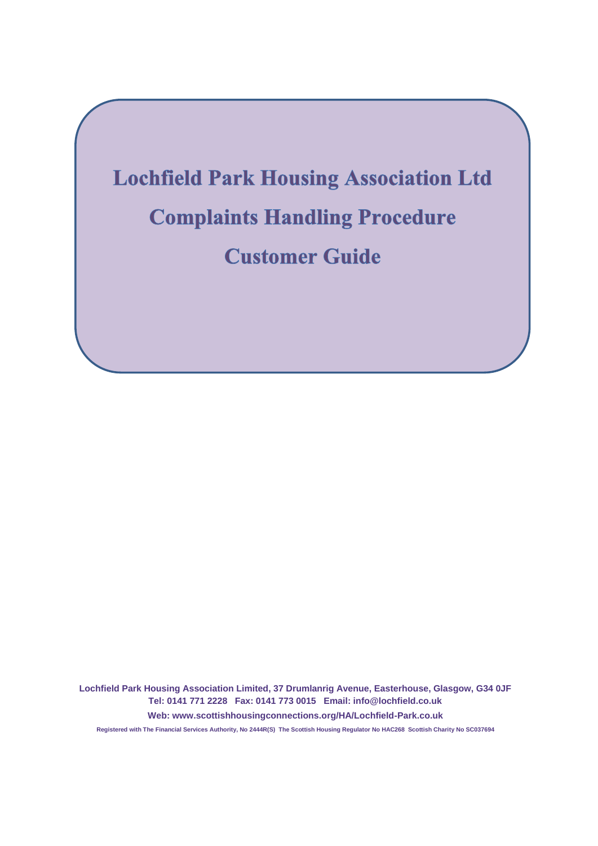

**Lochfield Park Housing Association Limited, 37 Drumlanrig Avenue, Easterhouse, Glasgow, G34 0JF Tel: 0141 771 2228 Fax: 0141 773 0015 Email: info@lochfield.co.uk Web: www.scottishhousingconnections.org/HA/Lochfield-Park.co.uk Registered with The Financial Services Authority, No 2444R(S) The Scottish Housing Regulator No HAC268 Scottish Charity No SC037694**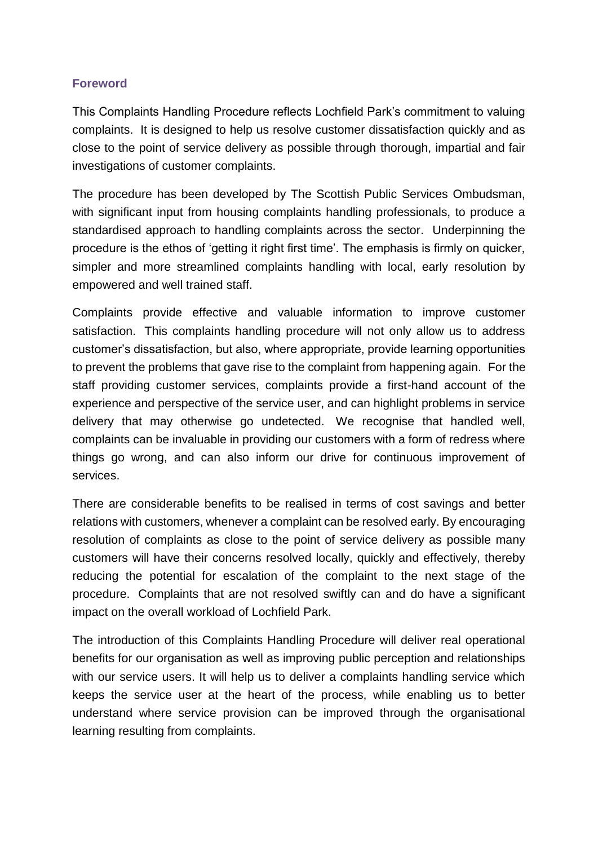#### **Foreword**

This Complaints Handling Procedure reflects Lochfield Park's commitment to valuing complaints. It is designed to help us resolve customer dissatisfaction quickly and as close to the point of service delivery as possible through thorough, impartial and fair investigations of customer complaints.

The procedure has been developed by The Scottish Public Services Ombudsman, with significant input from housing complaints handling professionals, to produce a standardised approach to handling complaints across the sector. Underpinning the procedure is the ethos of 'getting it right first time'. The emphasis is firmly on quicker, simpler and more streamlined complaints handling with local, early resolution by empowered and well trained staff.

Complaints provide effective and valuable information to improve customer satisfaction. This complaints handling procedure will not only allow us to address customer's dissatisfaction, but also, where appropriate, provide learning opportunities to prevent the problems that gave rise to the complaint from happening again. For the staff providing customer services, complaints provide a first-hand account of the experience and perspective of the service user, and can highlight problems in service delivery that may otherwise go undetected. We recognise that handled well, complaints can be invaluable in providing our customers with a form of redress where things go wrong, and can also inform our drive for continuous improvement of services.

There are considerable benefits to be realised in terms of cost savings and better relations with customers, whenever a complaint can be resolved early. By encouraging resolution of complaints as close to the point of service delivery as possible many customers will have their concerns resolved locally, quickly and effectively, thereby reducing the potential for escalation of the complaint to the next stage of the procedure. Complaints that are not resolved swiftly can and do have a significant impact on the overall workload of Lochfield Park.

The introduction of this Complaints Handling Procedure will deliver real operational benefits for our organisation as well as improving public perception and relationships with our service users. It will help us to deliver a complaints handling service which keeps the service user at the heart of the process, while enabling us to better understand where service provision can be improved through the organisational learning resulting from complaints.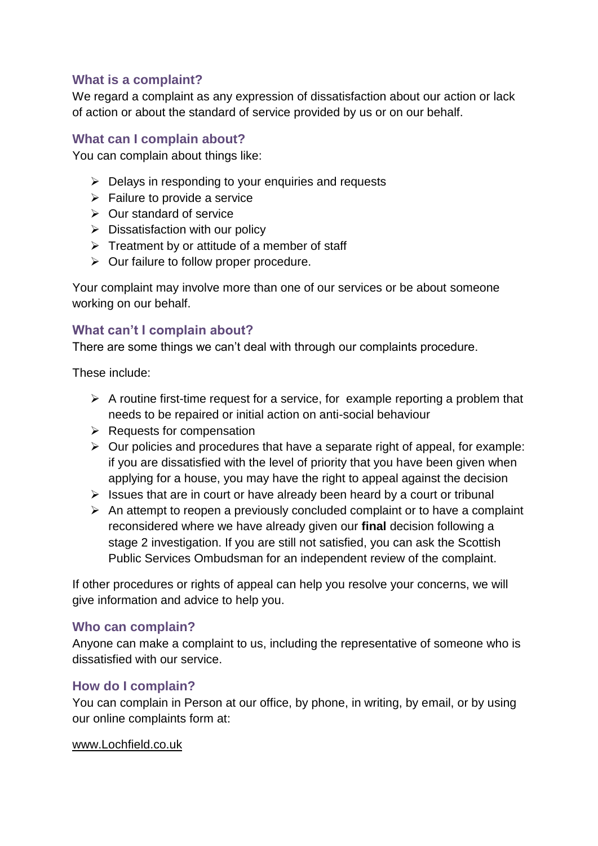## **What is a complaint?**

We regard a complaint as any expression of dissatisfaction about our action or lack of action or about the standard of service provided by us or on our behalf.

#### **What can I complain about?**

You can complain about things like:

- $\triangleright$  Delays in responding to your enquiries and requests
- $\triangleright$  Failure to provide a service
- $\triangleright$  Our standard of service
- $\triangleright$  Dissatisfaction with our policy
- $\triangleright$  Treatment by or attitude of a member of staff
- $\triangleright$  Our failure to follow proper procedure.

Your complaint may involve more than one of our services or be about someone working on our behalf.

## **What can't I complain about?**

There are some things we can't deal with through our complaints procedure.

These include:

- $\triangleright$  A routine first-time request for a service, for example reporting a problem that needs to be repaired or initial action on anti-social behaviour
- $\triangleright$  Requests for compensation
- $\triangleright$  Our policies and procedures that have a separate right of appeal, for example: if you are dissatisfied with the level of priority that you have been given when applying for a house, you may have the right to appeal against the decision
- $\triangleright$  Issues that are in court or have already been heard by a court or tribunal
- $\triangleright$  An attempt to reopen a previously concluded complaint or to have a complaint reconsidered where we have already given our **final** decision following a stage 2 investigation. If you are still not satisfied, you can ask the Scottish Public Services Ombudsman for an independent review of the complaint.

If other procedures or rights of appeal can help you resolve your concerns, we will give information and advice to help you.

## **Who can complain?**

Anyone can make a complaint to us, including the representative of someone who is dissatisfied with our service.

## **How do I complain?**

You can complain in Person at our office, by phone, in writing, by email, or by using our online complaints form at:

#### www.Lochfield.co.uk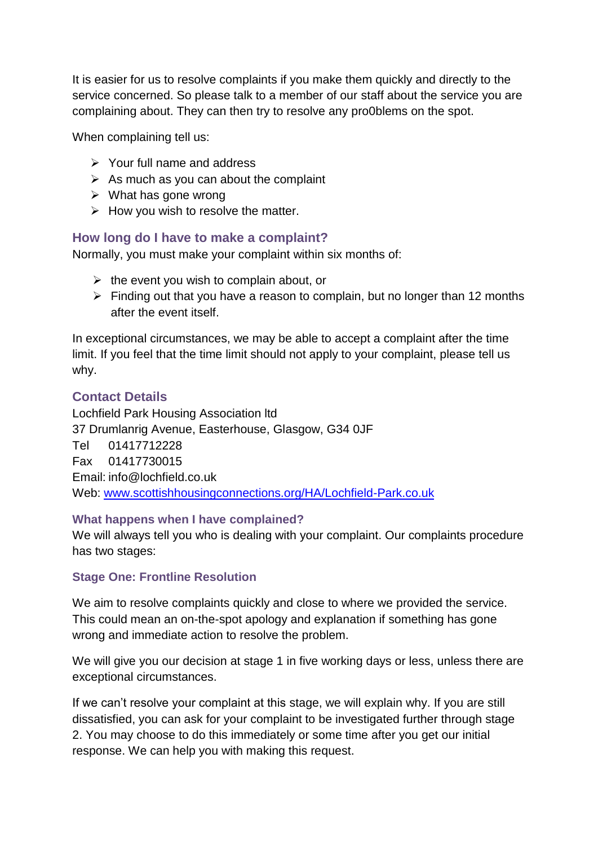It is easier for us to resolve complaints if you make them quickly and directly to the service concerned. So please talk to a member of our staff about the service you are complaining about. They can then try to resolve any pro0blems on the spot.

When complaining tell us:

- $\triangleright$  Your full name and address
- $\triangleright$  As much as you can about the complaint
- $\triangleright$  What has gone wrong
- $\triangleright$  How you wish to resolve the matter.

## **How long do I have to make a complaint?**

Normally, you must make your complaint within six months of:

- $\triangleright$  the event you wish to complain about, or
- $\triangleright$  Finding out that you have a reason to complain, but no longer than 12 months after the event itself.

In exceptional circumstances, we may be able to accept a complaint after the time limit. If you feel that the time limit should not apply to your complaint, please tell us why.

## **Contact Details**

Lochfield Park Housing Association ltd 37 Drumlanrig Avenue, Easterhouse, Glasgow, G34 0JF Tel 01417712228 Fax 01417730015 Email: info@lochfield.co.uk Web: [www.scottishhousingconnections.org/HA/Lochfield-Park.co.uk](http://www.scottishhousingconnections.org/HA/Lochfield-Park.co.uk)

#### **What happens when I have complained?**

We will always tell you who is dealing with your complaint. Our complaints procedure has two stages:

## **Stage One: Frontline Resolution**

We aim to resolve complaints quickly and close to where we provided the service. This could mean an on-the-spot apology and explanation if something has gone wrong and immediate action to resolve the problem.

We will give you our decision at stage 1 in five working days or less, unless there are exceptional circumstances.

If we can't resolve your complaint at this stage, we will explain why. If you are still dissatisfied, you can ask for your complaint to be investigated further through stage 2. You may choose to do this immediately or some time after you get our initial response. We can help you with making this request.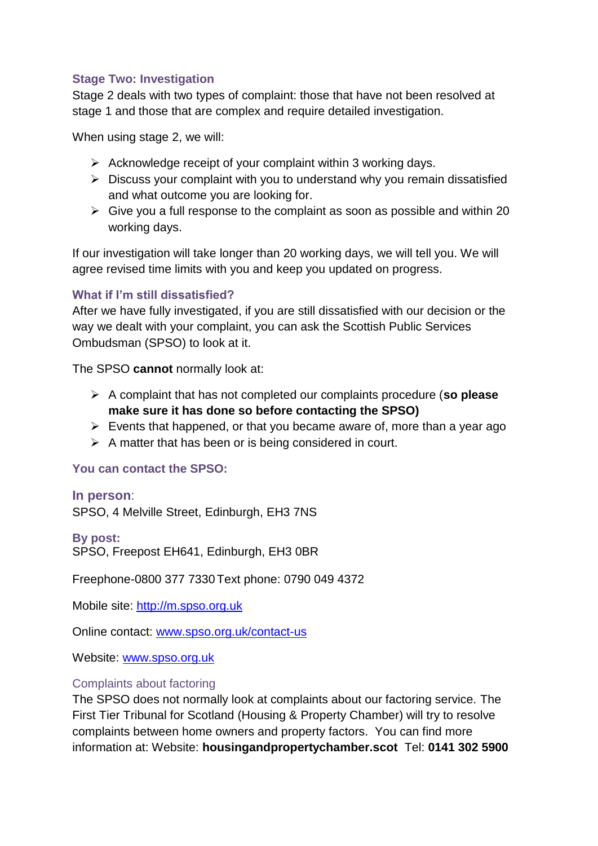### **Stage Two: Investigation**

Stage 2 deals with two types of complaint: those that have not been resolved at stage 1 and those that are complex and require detailed investigation.

When using stage 2, we will:

- $\triangleright$  Acknowledge receipt of your complaint within 3 working days.
- $\triangleright$  Discuss your complaint with you to understand why you remain dissatisfied and what outcome you are looking for.
- $\triangleright$  Give you a full response to the complaint as soon as possible and within 20 working days.

If our investigation will take longer than 20 working days, we will tell you. We will agree revised time limits with you and keep you updated on progress.

## **What if I'm still dissatisfied?**

After we have fully investigated, if you are still dissatisfied with our decision or the way we dealt with your complaint, you can ask the Scottish Public Services Ombudsman (SPSO) to look at it.

The SPSO **cannot** normally look at:

- A complaint that has not completed our complaints procedure (**so please make sure it has done so before contacting the SPSO)**
- $\triangleright$  Events that happened, or that you became aware of, more than a year ago
- $\triangleright$  A matter that has been or is being considered in court.

## **You can contact the SPSO:**

#### **In person**:

SPSO, 4 Melville Street, Edinburgh, EH3 7NS

#### **By post:**

SPSO, Freepost EH641, Edinburgh, EH3 0BR

Freephone-0800 377 7330Text phone: 0790 049 4372

Mobile site: [http://m.spso.org.uk](http://m.spso.org.uk/)

Online contact: [www.spso.org.uk/contact-us](http://www.spso.org.uk/contact-us)

Website: [www.spso.org.uk](http://www.spso.org.uk/)

#### Complaints about factoring

The SPSO does not normally look at complaints about our factoring service. The First Tier Tribunal for Scotland (Housing & Property Chamber) will try to resolve complaints between home owners and property factors. You can find more information at: Website: **housingandpropertychamber.scot** Tel: **0141 302 5900**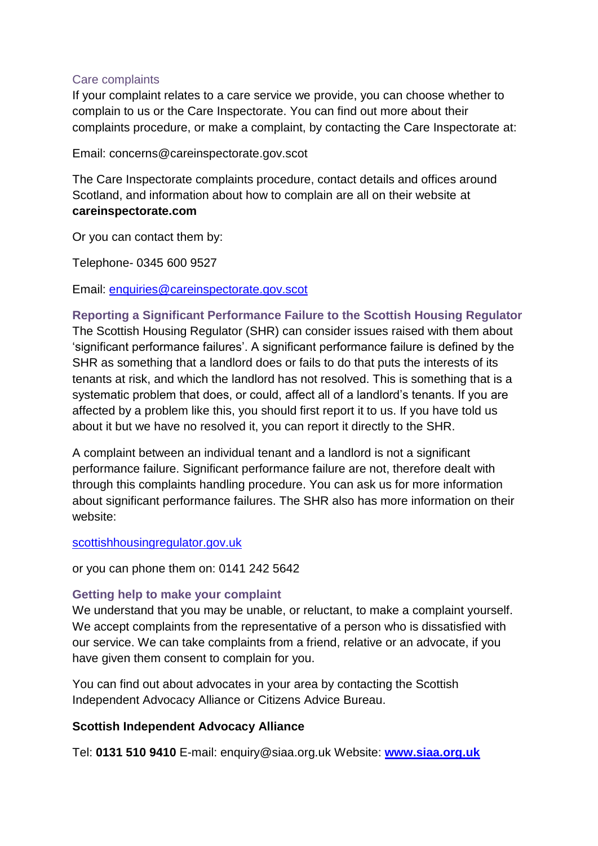#### Care complaints

If your complaint relates to a care service we provide, you can choose whether to complain to us or the Care Inspectorate. You can find out more about their complaints procedure, or make a complaint, by contacting the Care Inspectorate at:

Email: concerns@careinspectorate.gov.scot

The Care Inspectorate complaints procedure, contact details and offices around Scotland, and information about how to complain are all on their website at **careinspectorate.com**

Or you can contact them by:

Telephone- 0345 600 9527

Email: [enquiries@careinspectorate.gov.scot](mailto:enquiries@careinspectorate.gov.scot)

**Reporting a Significant Performance Failure to the Scottish Housing Regulator** The Scottish Housing Regulator (SHR) can consider issues raised with them about 'significant performance failures'. A significant performance failure is defined by the SHR as something that a landlord does or fails to do that puts the interests of its tenants at risk, and which the landlord has not resolved. This is something that is a systematic problem that does, or could, affect all of a landlord's tenants. If you are affected by a problem like this, you should first report it to us. If you have told us about it but we have no resolved it, you can report it directly to the SHR.

A complaint between an individual tenant and a landlord is not a significant performance failure. Significant performance failure are not, therefore dealt with through this complaints handling procedure. You can ask us for more information about significant performance failures. The SHR also has more information on their website:

#### [scottishhousingregulator.gov.uk](http://www.scottishhousingregulator.gov.uk/)

or you can phone them on: 0141 242 5642

#### **Getting help to make your complaint**

We understand that you may be unable, or reluctant, to make a complaint yourself. We accept complaints from the representative of a person who is dissatisfied with our service. We can take complaints from a friend, relative or an advocate, if you have given them consent to complain for you.

You can find out about advocates in your area by contacting the Scottish Independent Advocacy Alliance or Citizens Advice Bureau.

#### **Scottish Independent Advocacy Alliance**

Tel: **0131 510 9410** E-mail: enquiry@siaa.org.uk Website: **[www.siaa.org.uk](http://www.siaa.org.uk/)**